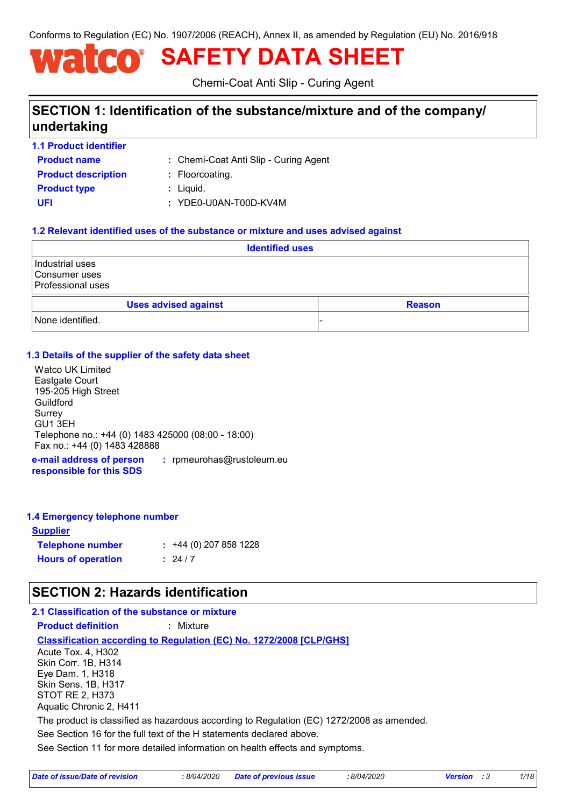Conforms to Regulation (EC) No. 1907/2006 (REACH), Annex II, as amended by Regulation (EU) No. 2016/918

# **SAFETY DATA SHEET**

Chemi-Coat Anti Slip - Curing Agent

# **SECTION 1: Identification of the substance/mixture and of the company/ undertaking**

**1.1 Product identifier**

Chemi-Coat Anti Slip - Curing Agent **:**

**Product name Product type**  $\qquad$ **:** Liquid. **Product description <b>:** Floorcoating.

**UFI :** YDE0-U0AN-T00D-KV4M

### **1.2 Relevant identified uses of the substance or mixture and uses advised against**

|                                                              | <b>Identified uses</b>      |  |               |
|--------------------------------------------------------------|-----------------------------|--|---------------|
| Industrial uses<br>Consumer uses<br><b>Professional uses</b> |                             |  |               |
|                                                              | <b>Uses advised against</b> |  | <b>Reason</b> |
| None identified.                                             |                             |  |               |

### **1.3 Details of the supplier of the safety data sheet**

Watco UK Limited Eastgate Court 195-205 High Street Guildford Surrey GU1 3EH Telephone no.: +44 (0) 1483 425000 (08:00 - 18:00) Fax no.: +44 (0) 1483 428888

**e-mail address of person responsible for this SDS :** rpmeurohas@rustoleum.eu

### **1.4 Emergency telephone number**

| <u>Supplier</u>           |                             |
|---------------------------|-----------------------------|
| <b>Telephone number</b>   | $\div$ +44 (0) 207 858 1228 |
| <b>Hours of operation</b> | : 24/7                      |

# **SECTION 2: Hazards identification**

### **2.1 Classification of the substance or mixture**

**Product definition :** Mixture

**Classification according to Regulation (EC) No. 1272/2008 [CLP/GHS]**

Acute Tox. 4, H302 Skin Corr. 1B, H314 Eye Dam. 1, H318 Skin Sens. 1B, H317 STOT RE 2, H373 Aquatic Chronic 2, H411

The product is classified as hazardous according to Regulation (EC) 1272/2008 as amended.

See Section 16 for the full text of the H statements declared above.

See Section 11 for more detailed information on health effects and symptoms.

| Date of issue/Date of revision | : 8/04/2020 Date of previous issue | 8/04/2020 | <b>Version</b> : 3 |  |
|--------------------------------|------------------------------------|-----------|--------------------|--|
|--------------------------------|------------------------------------|-----------|--------------------|--|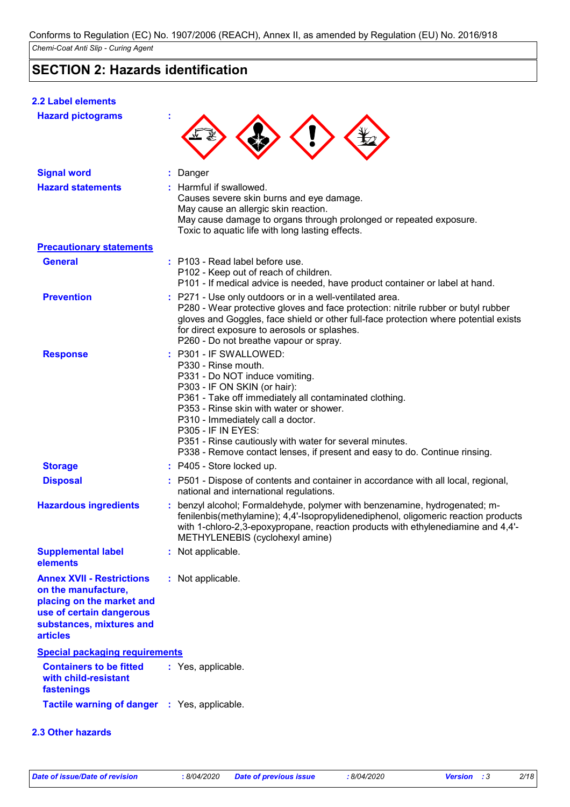# **SECTION 2: Hazards identification**

### **2.2 Label elements**

| <b>Hazard pictograms</b>                                                                                                                                        |                                                                                                                                                                                                                                                                                                                                                                                                                                 |
|-----------------------------------------------------------------------------------------------------------------------------------------------------------------|---------------------------------------------------------------------------------------------------------------------------------------------------------------------------------------------------------------------------------------------------------------------------------------------------------------------------------------------------------------------------------------------------------------------------------|
| <b>Signal word</b>                                                                                                                                              | : Danger                                                                                                                                                                                                                                                                                                                                                                                                                        |
| <b>Hazard statements</b>                                                                                                                                        | : Harmful if swallowed.<br>Causes severe skin burns and eye damage.<br>May cause an allergic skin reaction.<br>May cause damage to organs through prolonged or repeated exposure.<br>Toxic to aquatic life with long lasting effects.                                                                                                                                                                                           |
| <b>Precautionary statements</b>                                                                                                                                 |                                                                                                                                                                                                                                                                                                                                                                                                                                 |
| <b>General</b>                                                                                                                                                  | : P103 - Read label before use.<br>P102 - Keep out of reach of children.<br>P101 - If medical advice is needed, have product container or label at hand.                                                                                                                                                                                                                                                                        |
| <b>Prevention</b>                                                                                                                                               | : P271 - Use only outdoors or in a well-ventilated area.<br>P280 - Wear protective gloves and face protection: nitrile rubber or butyl rubber<br>gloves and Goggles, face shield or other full-face protection where potential exists<br>for direct exposure to aerosols or splashes.<br>P260 - Do not breathe vapour or spray.                                                                                                 |
| <b>Response</b>                                                                                                                                                 | : P301 - IF SWALLOWED:<br>P330 - Rinse mouth.<br>P331 - Do NOT induce vomiting.<br>P303 - IF ON SKIN (or hair):<br>P361 - Take off immediately all contaminated clothing.<br>P353 - Rinse skin with water or shower.<br>P310 - Immediately call a doctor.<br><b>P305 - IF IN EYES:</b><br>P351 - Rinse cautiously with water for several minutes.<br>P338 - Remove contact lenses, if present and easy to do. Continue rinsing. |
| <b>Storage</b>                                                                                                                                                  | : P405 - Store locked up.                                                                                                                                                                                                                                                                                                                                                                                                       |
| <b>Disposal</b>                                                                                                                                                 | : P501 - Dispose of contents and container in accordance with all local, regional,<br>national and international regulations.                                                                                                                                                                                                                                                                                                   |
| <b>Hazardous ingredients</b>                                                                                                                                    | : benzyl alcohol; Formaldehyde, polymer with benzenamine, hydrogenated; m-<br>fenilenbis(methylamine); 4,4'-Isopropylidenediphenol, oligomeric reaction products<br>with 1-chloro-2,3-epoxypropane, reaction products with ethylenediamine and 4,4'-<br>METHYLENEBIS (cyclohexyl amine)                                                                                                                                         |
| <b>Supplemental label</b><br>elements                                                                                                                           | : Not applicable.                                                                                                                                                                                                                                                                                                                                                                                                               |
| <b>Annex XVII - Restrictions</b><br>on the manufacture,<br>placing on the market and<br>use of certain dangerous<br>substances, mixtures and<br><b>articles</b> | : Not applicable.                                                                                                                                                                                                                                                                                                                                                                                                               |
| <b>Special packaging requirements</b>                                                                                                                           |                                                                                                                                                                                                                                                                                                                                                                                                                                 |
| <b>Containers to be fitted</b><br>with child-resistant<br>fastenings                                                                                            | : Yes, applicable.                                                                                                                                                                                                                                                                                                                                                                                                              |
| Tactile warning of danger : Yes, applicable.                                                                                                                    |                                                                                                                                                                                                                                                                                                                                                                                                                                 |
| 2.3 Other hazards                                                                                                                                               |                                                                                                                                                                                                                                                                                                                                                                                                                                 |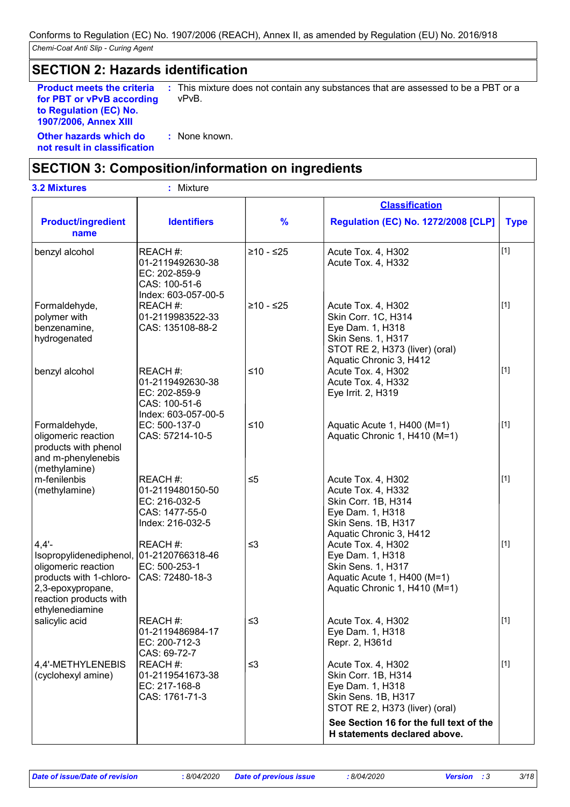### **SECTION 2: Hazards identification**

**Product meets the criteria for PBT or vPvB according to Regulation (EC) No. 1907/2006, Annex XIII**

**:** This mixture does not contain any substances that are assessed to be a PBT or a vPvB.

**Other hazards which do : not result in classification** : None known.

# **SECTION 3: Composition/information on ingredients**

| <b>3.2 Mixtures</b>                                                                                                                                                      | Mixture                                                                               |               |                                                                                                                                                  |             |
|--------------------------------------------------------------------------------------------------------------------------------------------------------------------------|---------------------------------------------------------------------------------------|---------------|--------------------------------------------------------------------------------------------------------------------------------------------------|-------------|
|                                                                                                                                                                          |                                                                                       |               | <b>Classification</b>                                                                                                                            |             |
| <b>Product/ingredient</b><br>name                                                                                                                                        | <b>Identifiers</b>                                                                    | $\frac{9}{6}$ | <b>Regulation (EC) No. 1272/2008 [CLP]</b>                                                                                                       | <b>Type</b> |
| benzyl alcohol                                                                                                                                                           | REACH #:<br>01-2119492630-38<br>EC: 202-859-9<br>CAS: 100-51-6<br>Index: 603-057-00-5 | $≥10 - ≤25$   | Acute Tox. 4, H302<br>Acute Tox. 4, H332                                                                                                         | $[1]$       |
| Formaldehyde,<br>polymer with<br>benzenamine,<br>hydrogenated                                                                                                            | REACH #:<br>01-2119983522-33<br>CAS: 135108-88-2                                      | $≥10 - ≤25$   | Acute Tox. 4, H302<br>Skin Corr. 1C, H314<br>Eye Dam. 1, H318<br>Skin Sens. 1, H317<br>STOT RE 2, H373 (liver) (oral)<br>Aquatic Chronic 3, H412 | $[1]$       |
| benzyl alcohol                                                                                                                                                           | REACH #:<br>01-2119492630-38<br>EC: 202-859-9<br>CAS: 100-51-6<br>Index: 603-057-00-5 | $≤10$         | Acute Tox. 4, H302<br>Acute Tox. 4, H332<br>Eye Irrit. 2, H319                                                                                   | $[1]$       |
| Formaldehyde,<br>oligomeric reaction<br>products with phenol<br>and m-phenylenebis<br>(methylamine)                                                                      | EC: 500-137-0<br>CAS: 57214-10-5                                                      | $≤10$         | Aquatic Acute 1, H400 (M=1)<br>Aquatic Chronic 1, H410 (M=1)                                                                                     | $[1]$       |
| m-fenilenbis<br>(methylamine)                                                                                                                                            | REACH #:<br>01-2119480150-50<br>EC: 216-032-5<br>CAS: 1477-55-0<br>Index: 216-032-5   | $\leq 5$      | Acute Tox. 4, H302<br>Acute Tox. 4, H332<br>Skin Corr. 1B, H314<br>Eye Dam. 1, H318<br>Skin Sens. 1B, H317<br>Aquatic Chronic 3, H412            | $[1]$       |
| $4,4'$ -<br>Isopropylidenediphenol, 01-2120766318-46<br>oligomeric reaction<br>products with 1-chloro-<br>2,3-epoxypropane,<br>reaction products with<br>ethylenediamine | REACH #:<br>EC: 500-253-1<br>CAS: 72480-18-3                                          | $\leq$ 3      | Acute Tox. 4, H302<br>Eye Dam. 1, H318<br>Skin Sens. 1, H317<br>Aquatic Acute 1, H400 (M=1)<br>Aquatic Chronic 1, H410 (M=1)                     | $[1]$       |
| salicylic acid                                                                                                                                                           | REACH #:<br>01-2119486984-17<br>EC: 200-712-3<br>CAS: 69-72-7                         | $\leq$ 3      | Acute Tox. 4, H302<br>Eye Dam. 1, H318<br>Repr. 2, H361d                                                                                         | $[1]$       |
| 4,4'-METHYLENEBIS<br>(cyclohexyl amine)                                                                                                                                  | REACH #:<br>01-2119541673-38<br>EC: 217-168-8<br>CAS: 1761-71-3                       | ≤3            | Acute Tox. 4, H302<br>Skin Corr. 1B, H314<br>Eye Dam. 1, H318<br>Skin Sens. 1B, H317<br>STOT RE 2, H373 (liver) (oral)                           | $\vert$ [1] |
|                                                                                                                                                                          |                                                                                       |               | See Section 16 for the full text of the<br>H statements declared above.                                                                          |             |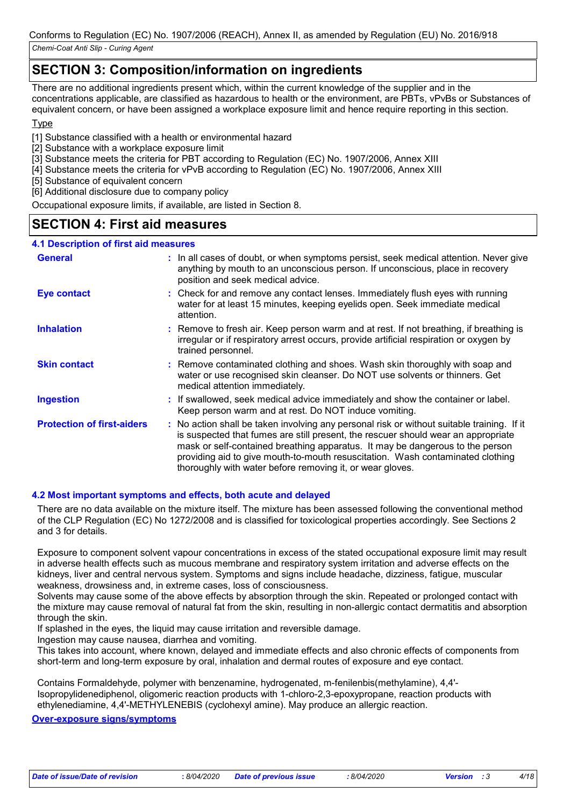# **SECTION 3: Composition/information on ingredients**

There are no additional ingredients present which, within the current knowledge of the supplier and in the concentrations applicable, are classified as hazardous to health or the environment, are PBTs, vPvBs or Substances of equivalent concern, or have been assigned a workplace exposure limit and hence require reporting in this section.

### Type

[1] Substance classified with a health or environmental hazard

- [2] Substance with a workplace exposure limit
- [3] Substance meets the criteria for PBT according to Regulation (EC) No. 1907/2006, Annex XIII
- [4] Substance meets the criteria for vPvB according to Regulation (EC) No. 1907/2006, Annex XIII
- [5] Substance of equivalent concern
- [6] Additional disclosure due to company policy

Occupational exposure limits, if available, are listed in Section 8.

### **SECTION 4: First aid measures**

### **4.1 Description of first aid measures**

| <b>General</b>                    | In all cases of doubt, or when symptoms persist, seek medical attention. Never give<br>anything by mouth to an unconscious person. If unconscious, place in recovery<br>position and seek medical advice.                                                                                                                                                                                                       |
|-----------------------------------|-----------------------------------------------------------------------------------------------------------------------------------------------------------------------------------------------------------------------------------------------------------------------------------------------------------------------------------------------------------------------------------------------------------------|
| Eye contact                       | : Check for and remove any contact lenses. Immediately flush eyes with running<br>water for at least 15 minutes, keeping eyelids open. Seek immediate medical<br>attention.                                                                                                                                                                                                                                     |
| <b>Inhalation</b>                 | : Remove to fresh air. Keep person warm and at rest. If not breathing, if breathing is<br>irregular or if respiratory arrest occurs, provide artificial respiration or oxygen by<br>trained personnel.                                                                                                                                                                                                          |
| <b>Skin contact</b>               | : Remove contaminated clothing and shoes. Wash skin thoroughly with soap and<br>water or use recognised skin cleanser. Do NOT use solvents or thinners. Get<br>medical attention immediately.                                                                                                                                                                                                                   |
| <b>Ingestion</b>                  | : If swallowed, seek medical advice immediately and show the container or label.<br>Keep person warm and at rest. Do NOT induce vomiting.                                                                                                                                                                                                                                                                       |
| <b>Protection of first-aiders</b> | : No action shall be taken involving any personal risk or without suitable training. If it<br>is suspected that fumes are still present, the rescuer should wear an appropriate<br>mask or self-contained breathing apparatus. It may be dangerous to the person<br>providing aid to give mouth-to-mouth resuscitation. Wash contaminated clothing<br>thoroughly with water before removing it, or wear gloves. |

### **4.2 Most important symptoms and effects, both acute and delayed**

There are no data available on the mixture itself. The mixture has been assessed following the conventional method of the CLP Regulation (EC) No 1272/2008 and is classified for toxicological properties accordingly. See Sections 2 and 3 for details.

Exposure to component solvent vapour concentrations in excess of the stated occupational exposure limit may result in adverse health effects such as mucous membrane and respiratory system irritation and adverse effects on the kidneys, liver and central nervous system. Symptoms and signs include headache, dizziness, fatigue, muscular weakness, drowsiness and, in extreme cases, loss of consciousness.

Solvents may cause some of the above effects by absorption through the skin. Repeated or prolonged contact with the mixture may cause removal of natural fat from the skin, resulting in non-allergic contact dermatitis and absorption through the skin.

If splashed in the eyes, the liquid may cause irritation and reversible damage.

Ingestion may cause nausea, diarrhea and vomiting.

This takes into account, where known, delayed and immediate effects and also chronic effects of components from short-term and long-term exposure by oral, inhalation and dermal routes of exposure and eye contact.

Contains Formaldehyde, polymer with benzenamine, hydrogenated, m-fenilenbis(methylamine), 4,4'- Isopropylidenediphenol, oligomeric reaction products with 1-chloro-2,3-epoxypropane, reaction products with ethylenediamine, 4,4'-METHYLENEBIS (cyclohexyl amine). May produce an allergic reaction.

#### **Over-exposure signs/symptoms**

*Date of issue/Date of revision* **:** *8/04/2020 Date of previous issue : 8/04/2020 Version : 3 4/18*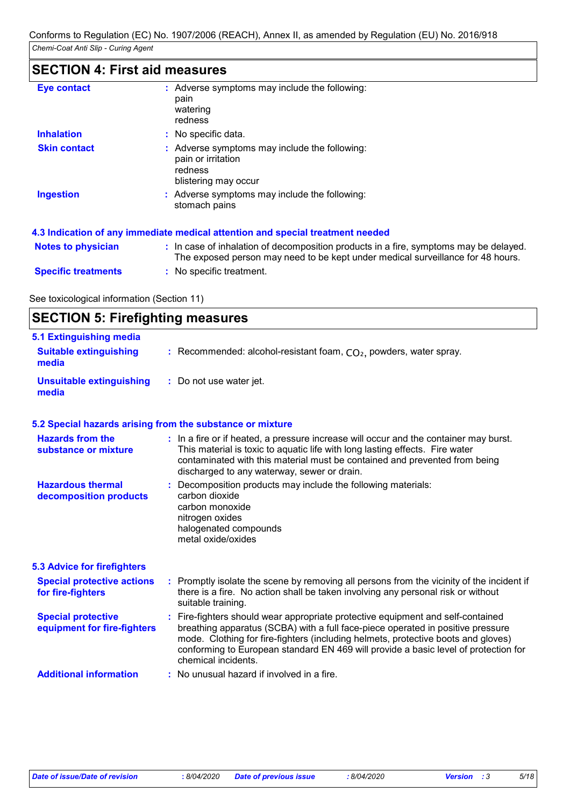# **SECTION 4: First aid measures**

| <b>Eye contact</b>         | : Adverse symptoms may include the following:<br>pain<br>watering<br>redness                                                                                             |
|----------------------------|--------------------------------------------------------------------------------------------------------------------------------------------------------------------------|
| <b>Inhalation</b>          | : No specific data.                                                                                                                                                      |
| <b>Skin contact</b>        | : Adverse symptoms may include the following:<br>pain or irritation<br>redness<br>blistering may occur                                                                   |
| <b>Ingestion</b>           | : Adverse symptoms may include the following:<br>stomach pains                                                                                                           |
|                            | 4.3 Indication of any immediate medical attention and special treatment needed                                                                                           |
| <b>Notes to physician</b>  | : In case of inhalation of decomposition products in a fire, symptoms may be delayed.<br>The exposed person may need to be kept under medical surveillance for 48 hours. |
| <b>Specific treatments</b> | : No specific treatment.                                                                                                                                                 |

See toxicological information (Section 11)

| <b>SECTION 5: Firefighting measures</b> |  |
|-----------------------------------------|--|
|-----------------------------------------|--|

| 5.1 Extinguishing media                                  |                                                                                                                                                                                                                                                                                                                                                                       |
|----------------------------------------------------------|-----------------------------------------------------------------------------------------------------------------------------------------------------------------------------------------------------------------------------------------------------------------------------------------------------------------------------------------------------------------------|
| <b>Suitable extinguishing</b><br>media                   | : Recommended: alcohol-resistant foam, $CO2$ , powders, water spray.                                                                                                                                                                                                                                                                                                  |
| <b>Unsuitable extinguishing</b><br>media                 | : Do not use water jet.                                                                                                                                                                                                                                                                                                                                               |
|                                                          | 5.2 Special hazards arising from the substance or mixture                                                                                                                                                                                                                                                                                                             |
| <b>Hazards from the</b><br>substance or mixture          | : In a fire or if heated, a pressure increase will occur and the container may burst.<br>This material is toxic to aquatic life with long lasting effects. Fire water<br>contaminated with this material must be contained and prevented from being<br>discharged to any waterway, sewer or drain.                                                                    |
| <b>Hazardous thermal</b><br>decomposition products       | Decomposition products may include the following materials:<br>carbon dioxide<br>carbon monoxide<br>nitrogen oxides<br>halogenated compounds<br>metal oxide/oxides                                                                                                                                                                                                    |
| <b>5.3 Advice for firefighters</b>                       |                                                                                                                                                                                                                                                                                                                                                                       |
| <b>Special protective actions</b><br>for fire-fighters   | : Promptly isolate the scene by removing all persons from the vicinity of the incident if<br>there is a fire. No action shall be taken involving any personal risk or without<br>suitable training.                                                                                                                                                                   |
| <b>Special protective</b><br>equipment for fire-fighters | : Fire-fighters should wear appropriate protective equipment and self-contained<br>breathing apparatus (SCBA) with a full face-piece operated in positive pressure<br>mode. Clothing for fire-fighters (including helmets, protective boots and gloves)<br>conforming to European standard EN 469 will provide a basic level of protection for<br>chemical incidents. |
|                                                          |                                                                                                                                                                                                                                                                                                                                                                       |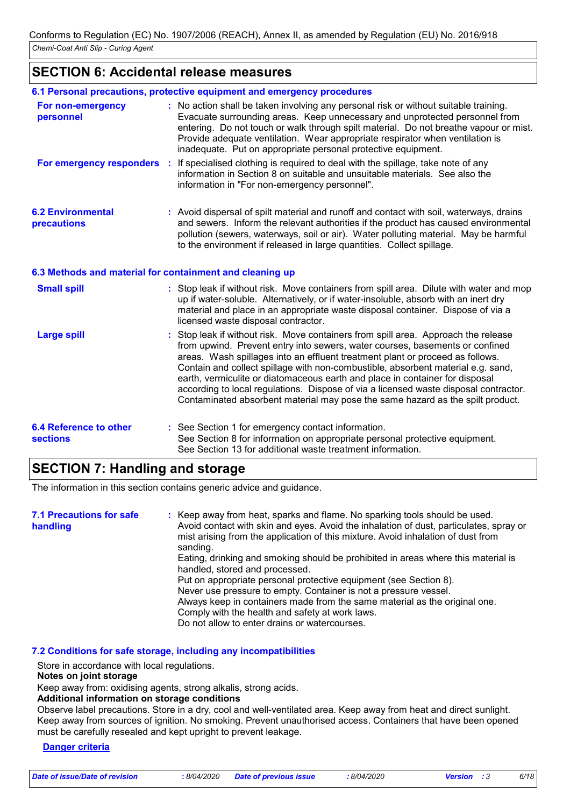### **SECTION 6: Accidental release measures**

|                                                          | 6.1 Personal precautions, protective equipment and emergency procedures                                                                                                                                                                                                                                                                                                                                                                                                                                                                                                                         |
|----------------------------------------------------------|-------------------------------------------------------------------------------------------------------------------------------------------------------------------------------------------------------------------------------------------------------------------------------------------------------------------------------------------------------------------------------------------------------------------------------------------------------------------------------------------------------------------------------------------------------------------------------------------------|
| For non-emergency<br>personnel                           | : No action shall be taken involving any personal risk or without suitable training.<br>Evacuate surrounding areas. Keep unnecessary and unprotected personnel from<br>entering. Do not touch or walk through spilt material. Do not breathe vapour or mist.<br>Provide adequate ventilation. Wear appropriate respirator when ventilation is<br>inadequate. Put on appropriate personal protective equipment.                                                                                                                                                                                  |
| For emergency responders :                               | If specialised clothing is required to deal with the spillage, take note of any<br>information in Section 8 on suitable and unsuitable materials. See also the<br>information in "For non-emergency personnel".                                                                                                                                                                                                                                                                                                                                                                                 |
| <b>6.2 Environmental</b><br>precautions                  | : Avoid dispersal of spilt material and runoff and contact with soil, waterways, drains<br>and sewers. Inform the relevant authorities if the product has caused environmental<br>pollution (sewers, waterways, soil or air). Water polluting material. May be harmful<br>to the environment if released in large quantities. Collect spillage.                                                                                                                                                                                                                                                 |
| 6.3 Methods and material for containment and cleaning up |                                                                                                                                                                                                                                                                                                                                                                                                                                                                                                                                                                                                 |
| <b>Small spill</b>                                       | : Stop leak if without risk. Move containers from spill area. Dilute with water and mop<br>up if water-soluble. Alternatively, or if water-insoluble, absorb with an inert dry<br>material and place in an appropriate waste disposal container. Dispose of via a<br>licensed waste disposal contractor.                                                                                                                                                                                                                                                                                        |
| <b>Large spill</b>                                       | Stop leak if without risk. Move containers from spill area. Approach the release<br>from upwind. Prevent entry into sewers, water courses, basements or confined<br>areas. Wash spillages into an effluent treatment plant or proceed as follows.<br>Contain and collect spillage with non-combustible, absorbent material e.g. sand,<br>earth, vermiculite or diatomaceous earth and place in container for disposal<br>according to local regulations. Dispose of via a licensed waste disposal contractor.<br>Contaminated absorbent material may pose the same hazard as the spilt product. |
| <b>6.4 Reference to other</b><br><b>sections</b>         | : See Section 1 for emergency contact information.<br>See Section 8 for information on appropriate personal protective equipment.<br>See Section 13 for additional waste treatment information.                                                                                                                                                                                                                                                                                                                                                                                                 |

### **SECTION 7: Handling and storage**

The information in this section contains generic advice and guidance.

| <b>7.1 Precautions for safe</b><br>handling | : Keep away from heat, sparks and flame. No sparking tools should be used.<br>Avoid contact with skin and eyes. Avoid the inhalation of dust, particulates, spray or<br>mist arising from the application of this mixture. Avoid inhalation of dust from<br>sanding.<br>Eating, drinking and smoking should be prohibited in areas where this material is |
|---------------------------------------------|-----------------------------------------------------------------------------------------------------------------------------------------------------------------------------------------------------------------------------------------------------------------------------------------------------------------------------------------------------------|
|                                             | handled, stored and processed.<br>Put on appropriate personal protective equipment (see Section 8).                                                                                                                                                                                                                                                       |
|                                             | Never use pressure to empty. Container is not a pressure vessel.<br>Always keep in containers made from the same material as the original one.<br>Comply with the health and safety at work laws.                                                                                                                                                         |
|                                             | Do not allow to enter drains or watercourses.                                                                                                                                                                                                                                                                                                             |

### **7.2 Conditions for safe storage, including any incompatibilities**

Store in accordance with local regulations.

#### **Notes on joint storage**

Keep away from: oxidising agents, strong alkalis, strong acids.

**Additional information on storage conditions**

Observe label precautions. Store in a dry, cool and well-ventilated area. Keep away from heat and direct sunlight. Keep away from sources of ignition. No smoking. Prevent unauthorised access. Containers that have been opened must be carefully resealed and kept upright to prevent leakage.

### **Danger criteria**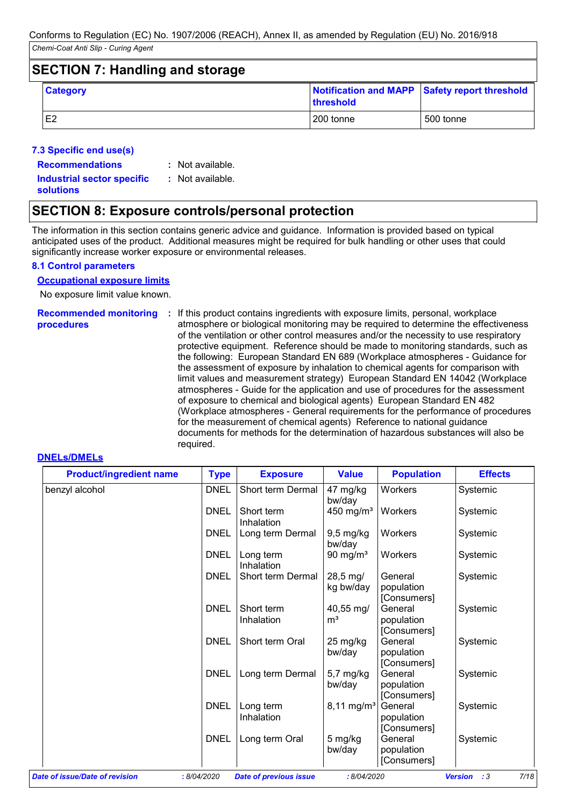### **SECTION 7: Handling and storage**

| <b>Category</b> | <b>Ithreshold</b> | Notification and MAPP Safety report threshold |
|-----------------|-------------------|-----------------------------------------------|
| IE <sub>2</sub> | 200 tonne         | 500 tonne                                     |

### **7.3 Specific end use(s)**

**Recommendations :**

: Not available.

**Industrial sector specific : solutions**

: Not available.

# **SECTION 8: Exposure controls/personal protection**

The information in this section contains generic advice and guidance. Information is provided based on typical anticipated uses of the product. Additional measures might be required for bulk handling or other uses that could significantly increase worker exposure or environmental releases.

### **8.1 Control parameters**

### **Occupational exposure limits**

No exposure limit value known.

# **procedures**

Recommended monitoring : If this product contains ingredients with exposure limits, personal, workplace atmosphere or biological monitoring may be required to determine the effectiveness of the ventilation or other control measures and/or the necessity to use respiratory protective equipment. Reference should be made to monitoring standards, such as the following: European Standard EN 689 (Workplace atmospheres - Guidance for the assessment of exposure by inhalation to chemical agents for comparison with limit values and measurement strategy) European Standard EN 14042 (Workplace atmospheres - Guide for the application and use of procedures for the assessment of exposure to chemical and biological agents) European Standard EN 482 (Workplace atmospheres - General requirements for the performance of procedures for the measurement of chemical agents) Reference to national guidance documents for methods for the determination of hazardous substances will also be required.

### **DNELs/DMELs**

| <b>Product/ingredient name</b> | <b>Type</b> | <b>Exposure</b>          | <b>Value</b>                      | <b>Population</b>                    | <b>Effects</b> |
|--------------------------------|-------------|--------------------------|-----------------------------------|--------------------------------------|----------------|
| benzyl alcohol                 | <b>DNEL</b> | Short term Dermal        | 47 mg/kg<br>bw/day                | Workers                              | Systemic       |
|                                | <b>DNEL</b> | Short term<br>Inhalation | 450 mg/m <sup>3</sup>             | Workers                              | Systemic       |
|                                | DNEL        | Long term Dermal         | $9,5$ mg/kg<br>bw/day             | Workers                              | Systemic       |
|                                | <b>DNEL</b> | Long term<br>Inhalation  | 90 mg/ $m3$                       | Workers                              | Systemic       |
|                                | <b>DNEL</b> | Short term Dermal        | $28,5 \,\mathrm{mg}$<br>kg bw/day | General<br>population<br>[Consumers] | Systemic       |
|                                | <b>DNEL</b> | Short term<br>Inhalation | 40,55 mg/<br>m <sup>3</sup>       | General<br>population<br>[Consumers] | Systemic       |
|                                | <b>DNEL</b> | Short term Oral          | 25 mg/kg<br>bw/day                | General<br>population<br>[Consumers] | Systemic       |
|                                | <b>DNEL</b> | Long term Dermal         | 5,7 mg/kg<br>bw/day               | General<br>population<br>[Consumers] | Systemic       |
|                                | <b>DNEL</b> | Long term<br>Inhalation  | $8,11 \,\mathrm{mg/m^3}$          | General<br>population<br>[Consumers] | Systemic       |
|                                | <b>DNEL</b> | Long term Oral           | 5 mg/kg<br>bw/day                 | General<br>population<br>[Consumers] | Systemic       |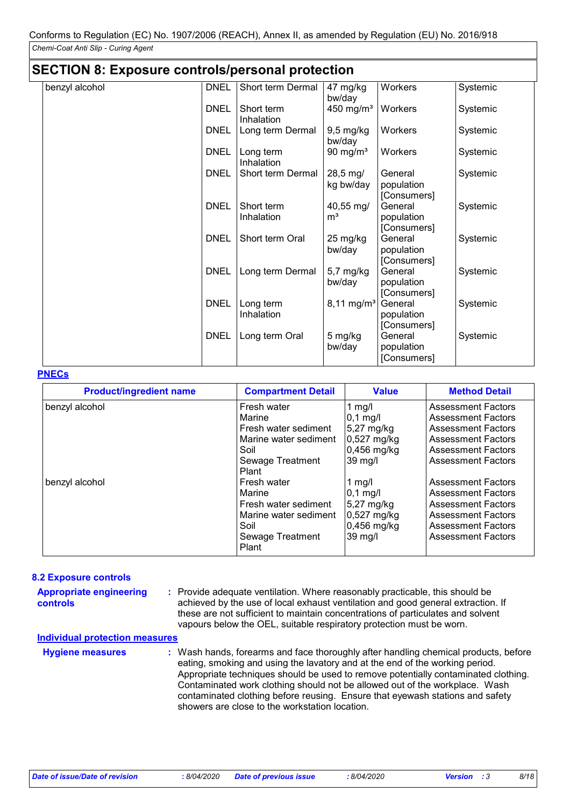|  | <b>SECTION 8: Exposure controls/personal protection</b> |  |  |
|--|---------------------------------------------------------|--|--|
|--|---------------------------------------------------------|--|--|

| benzyl alcohol | <b>DNEL</b> | Short term Dermal        | 47 mg/kg<br>bw/day                      | Workers                              | Systemic |
|----------------|-------------|--------------------------|-----------------------------------------|--------------------------------------|----------|
|                | <b>DNEL</b> | Short term<br>Inhalation | 450 mg/ $m3$                            | Workers                              | Systemic |
|                | <b>DNEL</b> | Long term Dermal         | $9,5$ mg/kg<br>bw/day                   | Workers                              | Systemic |
|                | <b>DNEL</b> | Long term<br>Inhalation  | 90 mg/ $m3$                             | Workers                              | Systemic |
|                | <b>DNEL</b> | Short term Dermal        | 28,5 mg/<br>kg bw/day                   | General<br>population<br>[Consumers] | Systemic |
|                | <b>DNEL</b> | Short term<br>Inhalation | $40,55 \,\mathrm{mg}$<br>m <sup>3</sup> | General<br>population<br>[Consumers] | Systemic |
|                | <b>DNEL</b> | Short term Oral          | 25 mg/kg<br>bw/day                      | General<br>population<br>[Consumers] | Systemic |
|                | <b>DNEL</b> | Long term Dermal         | $5,7$ mg/kg<br>bw/day                   | General<br>population<br>[Consumers] | Systemic |
|                | <b>DNEL</b> | Long term<br>Inhalation  | $8,11 \, \text{mg/m}^3$                 | General<br>population<br>[Consumers] | Systemic |
|                | <b>DNEL</b> | Long term Oral           | 5 mg/kg<br>bw/day                       | General<br>population<br>[Consumers] | Systemic |

#### **PNECs**

| <b>Product/ingredient name</b> | <b>Compartment Detail</b> | <b>Value</b> | <b>Method Detail</b>      |
|--------------------------------|---------------------------|--------------|---------------------------|
| benzyl alcohol                 | Fresh water               | 1 mg/l       | <b>Assessment Factors</b> |
|                                | Marine                    | $0,1$ mg/l   | <b>Assessment Factors</b> |
|                                | Fresh water sediment      | $5,27$ mg/kg | <b>Assessment Factors</b> |
|                                | Marine water sediment     | 0,527 mg/kg  | <b>Assessment Factors</b> |
|                                | Soil                      | 0,456 mg/kg  | <b>Assessment Factors</b> |
|                                | Sewage Treatment          | 39 mg/l      | <b>Assessment Factors</b> |
|                                | Plant                     |              |                           |
| benzyl alcohol                 | Fresh water               | 1 mg/l       | <b>Assessment Factors</b> |
|                                | Marine                    | $0,1$ mg/l   | <b>Assessment Factors</b> |
|                                | Fresh water sediment      | $5,27$ mg/kg | <b>Assessment Factors</b> |
|                                | Marine water sediment     | 0,527 mg/kg  | <b>Assessment Factors</b> |
|                                | Soil                      | 0,456 mg/kg  | <b>Assessment Factors</b> |
|                                | Sewage Treatment<br>Plant | 39 mg/l      | <b>Assessment Factors</b> |

#### **8.2 Exposure controls**

| <b>Appropriate engineering</b><br><b>controls</b> | : Provide adequate ventilation. Where reasonably practicable, this should be<br>achieved by the use of local exhaust ventilation and good general extraction. If<br>these are not sufficient to maintain concentrations of particulates and solvent<br>vapours below the OEL, suitable respiratory protection must be worn. |
|---------------------------------------------------|-----------------------------------------------------------------------------------------------------------------------------------------------------------------------------------------------------------------------------------------------------------------------------------------------------------------------------|
| <b>Individual protection measures</b>             |                                                                                                                                                                                                                                                                                                                             |
| Husiana maaanusa                                  | Meah hande, forearme and face thoroughly ofter handling chamical products, hefer                                                                                                                                                                                                                                            |

| <b>Hygiene measures</b> | : Wash hands, forearms and face thoroughly after handling chemical products, before<br>eating, smoking and using the lavatory and at the end of the working period.<br>Appropriate techniques should be used to remove potentially contaminated clothing.<br>Contaminated work clothing should not be allowed out of the workplace. Wash<br>contaminated clothing before reusing. Ensure that eyewash stations and safety |
|-------------------------|---------------------------------------------------------------------------------------------------------------------------------------------------------------------------------------------------------------------------------------------------------------------------------------------------------------------------------------------------------------------------------------------------------------------------|
|                         | showers are close to the workstation location.                                                                                                                                                                                                                                                                                                                                                                            |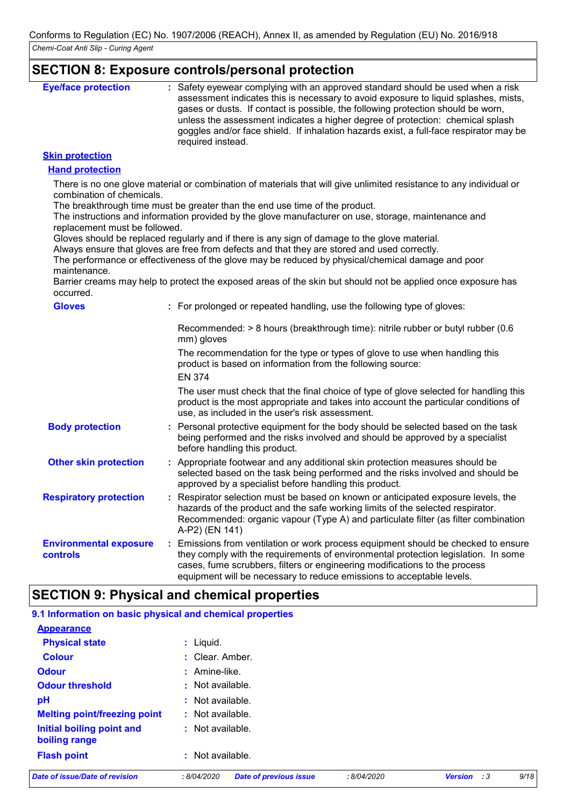### **SECTION 8: Exposure controls/personal protection**

| <b>Eye/face protection</b> | : Safety eyewear complying with an approved standard should be used when a risk<br>assessment indicates this is necessary to avoid exposure to liquid splashes, mists,<br>gases or dusts. If contact is possible, the following protection should be worn,<br>unless the assessment indicates a higher degree of protection: chemical splash<br>goggles and/or face shield. If inhalation hazards exist, a full-face respirator may be |
|----------------------------|----------------------------------------------------------------------------------------------------------------------------------------------------------------------------------------------------------------------------------------------------------------------------------------------------------------------------------------------------------------------------------------------------------------------------------------|
|                            | required instead.                                                                                                                                                                                                                                                                                                                                                                                                                      |

### **Skin protection**

#### **Hand protection**

There is no one glove material or combination of materials that will give unlimited resistance to any individual or combination of chemicals.

The breakthrough time must be greater than the end use time of the product.

The instructions and information provided by the glove manufacturer on use, storage, maintenance and replacement must be followed.

Gloves should be replaced regularly and if there is any sign of damage to the glove material.

Always ensure that gloves are free from defects and that they are stored and used correctly.

The performance or effectiveness of the glove may be reduced by physical/chemical damage and poor maintenance.

Barrier creams may help to protect the exposed areas of the skin but should not be applied once exposure has occurred.

| <b>Gloves</b>                             |    | : For prolonged or repeated handling, use the following type of gloves:                                                                                                                                                                                                                                                         |
|-------------------------------------------|----|---------------------------------------------------------------------------------------------------------------------------------------------------------------------------------------------------------------------------------------------------------------------------------------------------------------------------------|
|                                           |    | Recommended: $> 8$ hours (breakthrough time): nitrile rubber or butyl rubber (0.6<br>mm) gloves                                                                                                                                                                                                                                 |
|                                           |    | The recommendation for the type or types of glove to use when handling this<br>product is based on information from the following source:<br><b>EN 374</b>                                                                                                                                                                      |
|                                           |    | The user must check that the final choice of type of glove selected for handling this<br>product is the most appropriate and takes into account the particular conditions of<br>use, as included in the user's risk assessment.                                                                                                 |
| <b>Body protection</b>                    |    | : Personal protective equipment for the body should be selected based on the task<br>being performed and the risks involved and should be approved by a specialist<br>before handling this product.                                                                                                                             |
| <b>Other skin protection</b>              |    | : Appropriate footwear and any additional skin protection measures should be<br>selected based on the task being performed and the risks involved and should be<br>approved by a specialist before handling this product.                                                                                                       |
| <b>Respiratory protection</b>             | ÷. | Respirator selection must be based on known or anticipated exposure levels, the<br>hazards of the product and the safe working limits of the selected respirator.<br>Recommended: organic vapour (Type A) and particulate filter (as filter combination<br>A-P2) (EN 141)                                                       |
| <b>Environmental exposure</b><br>controls |    | : Emissions from ventilation or work process equipment should be checked to ensure<br>they comply with the requirements of environmental protection legislation. In some<br>cases, fume scrubbers, filters or engineering modifications to the process<br>equipment will be necessary to reduce emissions to acceptable levels. |

# **SECTION 9: Physical and chemical properties**

| Date of issue/Date of revision                            | <b>Date of previous issue</b><br>:8/04/2020 | :8/04/2020 | <b>Version</b><br>$\cdot$ :3 | 9/18 |
|-----------------------------------------------------------|---------------------------------------------|------------|------------------------------|------|
| <b>Flash point</b>                                        | : Not available.                            |            |                              |      |
| <b>Initial boiling point and</b><br>boiling range         | : Not available.                            |            |                              |      |
| <b>Melting point/freezing point</b>                       | : Not available.                            |            |                              |      |
| pH                                                        | : Not available.                            |            |                              |      |
| <b>Odour threshold</b>                                    | $\cdot$ Not available.                      |            |                              |      |
| <b>Odour</b>                                              | $:$ Amine-like.                             |            |                              |      |
| <b>Colour</b>                                             | : Clear. Amber.                             |            |                              |      |
| <b>Physical state</b>                                     | $:$ Liquid.                                 |            |                              |      |
| <b>Appearance</b>                                         |                                             |            |                              |      |
| 9.1 Information on basic physical and chemical properties |                                             |            |                              |      |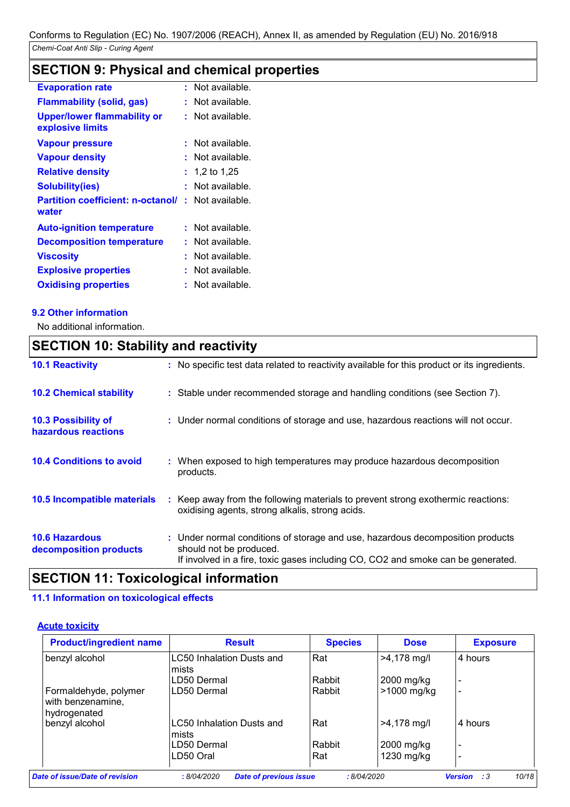# **SECTION 9: Physical and chemical properties**

| <b>Evaporation rate</b>                                           | : Not available. |
|-------------------------------------------------------------------|------------------|
| <b>Flammability (solid, gas)</b>                                  | Not available.   |
| Upper/lower flammability or<br>explosive limits                   | : Not available. |
| <b>Vapour pressure</b>                                            | Not available.   |
| <b>Vapour density</b>                                             | Not available.   |
| <b>Relative density</b>                                           | 1,2 to 1,25      |
| <b>Solubility(ies)</b>                                            | Not available.   |
| <b>Partition coefficient: n-octanol/: Not available.</b><br>water |                  |
| <b>Auto-ignition temperature</b>                                  | : Not available. |
| <b>Decomposition temperature</b>                                  | Not available.   |
| <b>Viscosity</b>                                                  | Not available.   |
| <b>Explosive properties</b>                                       | Not available.   |
| <b>Oxidising properties</b>                                       | Not available.   |
|                                                                   |                  |

### **9.2 Other information**

No additional information.

# **SECTION 10: Stability and reactivity**

| <b>10.1 Reactivity</b>                            | : No specific test data related to reactivity available for this product or its ingredients.                                                                                                  |
|---------------------------------------------------|-----------------------------------------------------------------------------------------------------------------------------------------------------------------------------------------------|
| <b>10.2 Chemical stability</b>                    | : Stable under recommended storage and handling conditions (see Section 7).                                                                                                                   |
| <b>10.3 Possibility of</b><br>hazardous reactions | : Under normal conditions of storage and use, hazardous reactions will not occur.                                                                                                             |
| <b>10.4 Conditions to avoid</b>                   | : When exposed to high temperatures may produce hazardous decomposition<br>products.                                                                                                          |
| 10.5 Incompatible materials                       | Keep away from the following materials to prevent strong exothermic reactions:<br>oxidising agents, strong alkalis, strong acids.                                                             |
| <b>10.6 Hazardous</b><br>decomposition products   | : Under normal conditions of storage and use, hazardous decomposition products<br>should not be produced.<br>If involved in a fire, toxic gases including CO, CO2 and smoke can be generated. |

# **SECTION 11: Toxicological information**

### **11.1 Information on toxicological effects**

### **Acute toxicity**

| <b>Product/ingredient name</b>                             | <b>Result</b>                      | <b>Species</b> | <b>Dose</b>   | <b>Exposure</b> |
|------------------------------------------------------------|------------------------------------|----------------|---------------|-----------------|
| benzyl alcohol                                             | LC50 Inhalation Dusts and<br>mists | Rat            | $>4,178$ mg/l | 4 hours         |
|                                                            | LD50 Dermal                        | Rabbit         | 2000 mg/kg    |                 |
| Formaldehyde, polymer<br>with benzenamine,<br>hydrogenated | LD50 Dermal                        | Rabbit         | >1000 mg/kg   |                 |
| benzyl alcohol                                             | LC50 Inhalation Dusts and<br>mists | Rat            | $>4,178$ mg/l | 4 hours         |
|                                                            | LD50 Dermal                        | Rabbit         | 2000 mg/kg    |                 |
|                                                            | LD50 Oral                          | Rat            | 1230 mg/kg    |                 |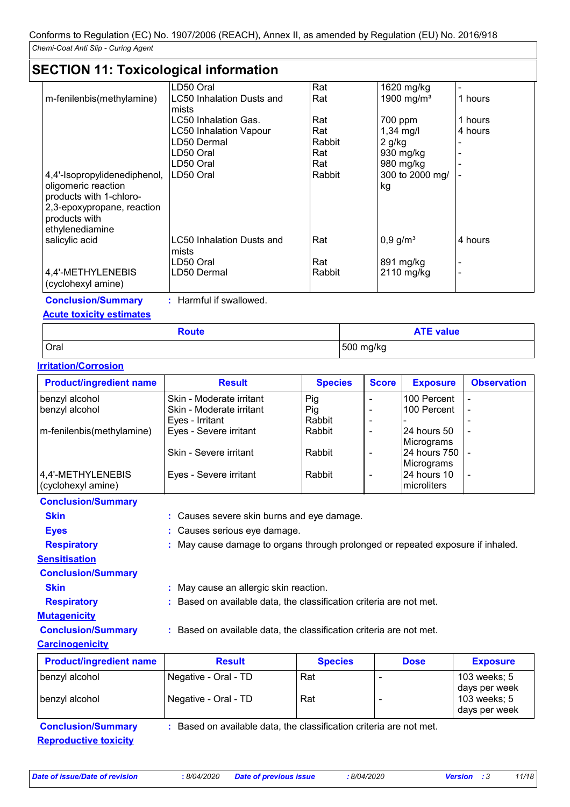# **SECTION 11: Toxicological information**

|                              | LD50 Oral                     | Rat    | 1620 mg/kg             |         |
|------------------------------|-------------------------------|--------|------------------------|---------|
| m-fenilenbis(methylamine)    | LC50 Inhalation Dusts and     | Rat    | 1900 mg/ $m3$          | 1 hours |
|                              | mists                         |        |                        |         |
|                              | LC50 Inhalation Gas.          | Rat    | 700 ppm                | 1 hours |
|                              | <b>LC50 Inhalation Vapour</b> | Rat    | $1,34$ mg/l            | 4 hours |
|                              | LD50 Dermal                   | Rabbit | 2 g/kg                 |         |
|                              | LD50 Oral                     | Rat    | 930 mg/kg              |         |
|                              | LD50 Oral                     | Rat    | 980 mg/kg              |         |
| 4,4'-Isopropylidenediphenol, | LD50 Oral                     | Rabbit | 300 to 2000 mg/        |         |
| oligomeric reaction          |                               |        | kg                     |         |
| products with 1-chloro-      |                               |        |                        |         |
| 2,3-epoxypropane, reaction   |                               |        |                        |         |
| products with                |                               |        |                        |         |
| ethylenediamine              |                               |        |                        |         |
| salicylic acid               | LC50 Inhalation Dusts and     | Rat    | $0,9$ g/m <sup>3</sup> | 4 hours |
|                              | mists                         |        |                        |         |
|                              | LD50 Oral                     | Rat    | 891 mg/kg              |         |
| 4,4'-METHYLENEBIS            | LD50 Dermal                   | Rabbit | 2110 mg/kg             |         |
| (cyclohexyl amine)           |                               |        |                        |         |
|                              |                               |        |                        |         |

**Conclusion/Summary :** Harmful if swallowed. **Acute toxicity estimates**

# Oral 500 mg/kg **Route ATE value**

### **Irritation/Corrosion**

| <b>Product/ingredient name</b> | <b>Result</b>            | <b>Species</b> | <b>Score</b> | <b>Exposure</b>     | <b>Observation</b> |
|--------------------------------|--------------------------|----------------|--------------|---------------------|--------------------|
| benzyl alcohol                 | Skin - Moderate irritant | Pig            |              | 100 Percent         |                    |
| benzyl alcohol                 | Skin - Moderate irritant | Pig            |              | 100 Percent         |                    |
|                                | Eyes - Irritant          | Rabbit         |              |                     |                    |
| m-fenilenbis(methylamine)      | Eyes - Severe irritant   | Rabbit         |              | 24 hours 50         |                    |
|                                |                          |                |              | Micrograms          |                    |
|                                | Skin - Severe irritant   | Rabbit         |              | 24 hours 750  -     |                    |
|                                |                          |                |              | Micrograms          |                    |
| 4,4'-METHYLENEBIS              | Eyes - Severe irritant   | Rabbit         |              | 24 hours 10         |                    |
| (cyclohexyl amine)             |                          |                |              | <b>Imicroliters</b> |                    |

| <b>Product/ingredient name</b><br>hon alcohol | <b>Result</b><br>Nogotivo<br>$C_{rad}$ TD                                       | <b>Species</b><br>$DA+$ | <b>Dose</b> | <b>Exposure</b><br>$102$ wooke: $F$ |
|-----------------------------------------------|---------------------------------------------------------------------------------|-------------------------|-------------|-------------------------------------|
| <b>Carcinogenicity</b>                        |                                                                                 |                         |             |                                     |
| <b>Conclusion/Summary</b>                     | : Based on available data, the classification criteria are not met.             |                         |             |                                     |
| <b>Mutagenicity</b>                           |                                                                                 |                         |             |                                     |
| <b>Respiratory</b>                            | : Based on available data, the classification criteria are not met.             |                         |             |                                     |
| <b>Skin</b>                                   | : May cause an allergic skin reaction.                                          |                         |             |                                     |
| <b>Conclusion/Summary</b>                     |                                                                                 |                         |             |                                     |
| <b>Sensitisation</b>                          |                                                                                 |                         |             |                                     |
| <b>Respiratory</b>                            | : May cause damage to organs through prolonged or repeated exposure if inhaled. |                         |             |                                     |
| <b>Eyes</b>                                   | : Causes serious eye damage.                                                    |                         |             |                                     |
| <b>Skin</b>                                   | : Causes severe skin burns and eye damage.                                      |                         |             |                                     |
| <b>Conclusion/Summary</b>                     |                                                                                 |                         |             |                                     |

| <b>Product/ingredient name</b> | <b>Result</b>                                                       | <b>Species</b> | <b>Dose</b> | <b>Exposure</b>               |
|--------------------------------|---------------------------------------------------------------------|----------------|-------------|-------------------------------|
| benzyl alcohol                 | Negative - Oral - TD                                                | Rat            |             | 103 weeks; 5<br>days per week |
| benzyl alcohol                 | Negative - Oral - TD                                                | Rat            |             | 103 weeks; 5<br>days per week |
| <b>Conclusion/Summary</b>      | : Based on available data, the classification criteria are not met. |                |             |                               |
| <b>Reproductive toxicity</b>   |                                                                     |                |             |                               |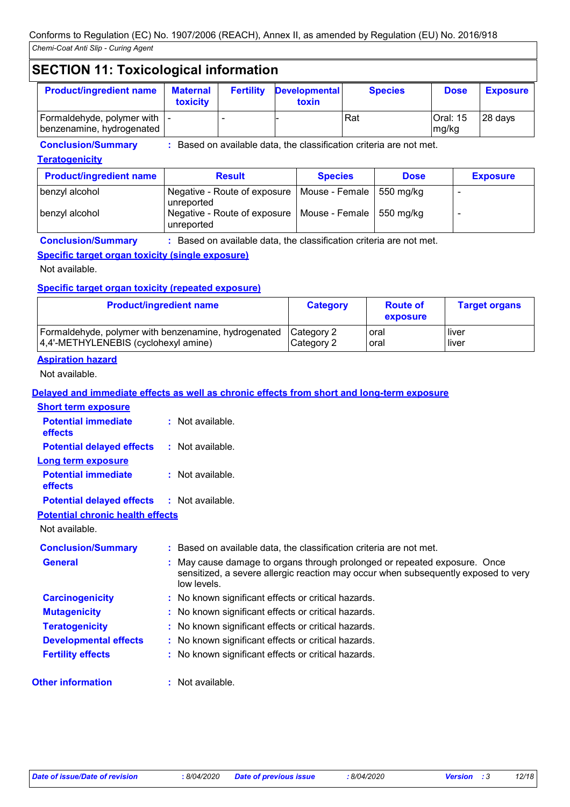# **SECTION 11: Toxicological information**

| <b>Product/ingredient name</b>                              | <b>Maternal</b><br><b>toxicity</b> | <b>Fertility</b> | <b>Developmental</b><br>toxin | <b>Species</b> | <b>Dose</b>       | <b>Exposure</b> |
|-------------------------------------------------------------|------------------------------------|------------------|-------------------------------|----------------|-------------------|-----------------|
| Formaldehyde, polymer with   -<br>benzenamine, hydrogenated |                                    | -                |                               | Rat            | Oral: 15<br>mg/kg | 28 days         |

**Conclusion/Summary :** Based on available data, the classification criteria are not met.

### **Teratogenicity**

| <b>Product/ingredient name</b> | <b>Result</b>                                                             | <b>Species</b> | <b>Dose</b> | <b>Exposure</b> |
|--------------------------------|---------------------------------------------------------------------------|----------------|-------------|-----------------|
| benzyl alcohol                 | Negative - Route of exposure   Mouse - Female   550 mg/kg<br>  unreported |                |             |                 |
| benzyl alcohol                 | Negative - Route of exposure   Mouse - Female   550 mg/kg<br>unreported   |                |             |                 |

**Conclusion/Summary :** Based on available data, the classification criteria are not met.

### **Specific target organ toxicity (single exposure)**

Not available.

### **Specific target organ toxicity (repeated exposure)**

| <b>Product/ingredient name</b>                       | <b>Category</b> | <b>Route of</b><br>exposure | <b>Target organs</b> |
|------------------------------------------------------|-----------------|-----------------------------|----------------------|
| Formaldehyde, polymer with benzenamine, hydrogenated | Category 2      | oral                        | <b>liver</b>         |
| 4,4'-METHYLENEBIS (cyclohexyl amine)                 | Category 2      | oral                        | <b>liver</b>         |

### **Aspiration hazard**

Not available.

### **Delayed and immediate effects as well as chronic effects from short and long-term exposure**

| <b>Short term exposure</b>              |                                                                                                                                                                                |
|-----------------------------------------|--------------------------------------------------------------------------------------------------------------------------------------------------------------------------------|
| <b>Potential immediate</b><br>effects   | $:$ Not available.                                                                                                                                                             |
| <b>Potential delayed effects</b>        | $\therefore$ Not available.                                                                                                                                                    |
| <b>Long term exposure</b>               |                                                                                                                                                                                |
| <b>Potential immediate</b><br>effects   | $:$ Not available.                                                                                                                                                             |
| <b>Potential delayed effects</b>        | $\therefore$ Not available.                                                                                                                                                    |
| <b>Potential chronic health effects</b> |                                                                                                                                                                                |
| Not available.                          |                                                                                                                                                                                |
| <b>Conclusion/Summary</b>               | : Based on available data, the classification criteria are not met.                                                                                                            |
| <b>General</b>                          | : May cause damage to organs through prolonged or repeated exposure. Once<br>sensitized, a severe allergic reaction may occur when subsequently exposed to very<br>low levels. |
| <b>Carcinogenicity</b>                  | : No known significant effects or critical hazards.                                                                                                                            |
| <b>Mutagenicity</b>                     | : No known significant effects or critical hazards.                                                                                                                            |
| <b>Teratogenicity</b>                   | : No known significant effects or critical hazards.                                                                                                                            |
| <b>Developmental effects</b>            | : No known significant effects or critical hazards.                                                                                                                            |
| <b>Fertility effects</b>                | : No known significant effects or critical hazards.                                                                                                                            |
| <b>Other information</b>                | : Not available.                                                                                                                                                               |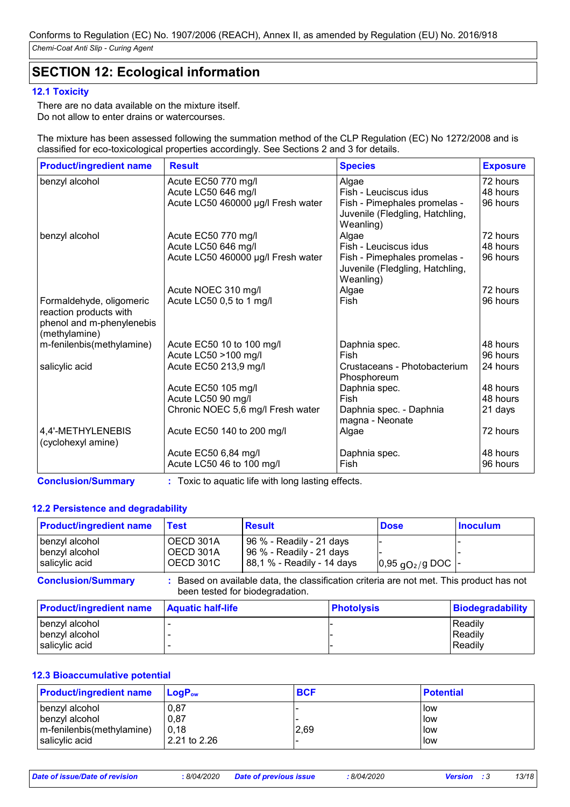# **SECTION 12: Ecological information**

### **12.1 Toxicity**

There are no data available on the mixture itself. Do not allow to enter drains or watercourses.

The mixture has been assessed following the summation method of the CLP Regulation (EC) No 1272/2008 and is classified for eco-toxicological properties accordingly. See Sections 2 and 3 for details.

| <b>Product/ingredient name</b>                                                                   | <b>Result</b>                      | <b>Species</b>                                                               | <b>Exposure</b> |
|--------------------------------------------------------------------------------------------------|------------------------------------|------------------------------------------------------------------------------|-----------------|
| benzyl alcohol                                                                                   | Acute EC50 770 mg/l                | Algae                                                                        | 72 hours        |
|                                                                                                  | Acute LC50 646 mg/l                | Fish - Leuciscus idus                                                        | 48 hours        |
|                                                                                                  | Acute LC50 460000 µg/l Fresh water | Fish - Pimephales promelas -<br>Juvenile (Fledgling, Hatchling,<br>Weanling) | 96 hours        |
| benzyl alcohol                                                                                   | Acute EC50 770 mg/l                | Algae                                                                        | 72 hours        |
|                                                                                                  | Acute LC50 646 mg/l                | Fish - Leuciscus idus                                                        | 48 hours        |
|                                                                                                  | Acute LC50 460000 µg/l Fresh water | Fish - Pimephales promelas -<br>Juvenile (Fledgling, Hatchling,<br>Weanling) | 96 hours        |
|                                                                                                  | Acute NOEC 310 mg/l                | Algae                                                                        | 72 hours        |
| Formaldehyde, oligomeric<br>reaction products with<br>phenol and m-phenylenebis<br>(methylamine) | Acute LC50 0,5 to 1 mg/l           | Fish                                                                         | 96 hours        |
| m-fenilenbis(methylamine)                                                                        | Acute EC50 10 to 100 mg/l          | Daphnia spec.                                                                | 48 hours        |
|                                                                                                  | Acute LC50 >100 mg/l               | Fish                                                                         | 96 hours        |
| salicylic acid                                                                                   | Acute EC50 213,9 mg/l              | Crustaceans - Photobacterium<br>Phosphoreum                                  | 24 hours        |
|                                                                                                  | Acute EC50 105 mg/l                | Daphnia spec.                                                                | 48 hours        |
|                                                                                                  | Acute LC50 90 mg/l                 | Fish                                                                         | 48 hours        |
|                                                                                                  | Chronic NOEC 5,6 mg/l Fresh water  | Daphnia spec. - Daphnia<br>magna - Neonate                                   | 21 days         |
| 4,4'-METHYLENEBIS<br>(cyclohexyl amine)                                                          | Acute EC50 140 to 200 mg/l         | Algae                                                                        | 72 hours        |
|                                                                                                  | Acute EC50 6,84 mg/l               | Daphnia spec.                                                                | 48 hours        |
|                                                                                                  | Acute LC50 46 to 100 mg/l          | Fish                                                                         | 96 hours        |

**Conclusion/Summary :** Toxic to aquatic life with long lasting effects.

### **12.2 Persistence and degradability**

| <b>Product/ingredient name</b>                              | <b>Test</b>              | <b>Result</b>                                                                                                             | <b>Dose</b>           | <b>Inoculum</b>         |
|-------------------------------------------------------------|--------------------------|---------------------------------------------------------------------------------------------------------------------------|-----------------------|-------------------------|
| benzyl alcohol<br>benzyl alcohol                            | OECD 301A<br>OECD 301A   | 96 % - Readily - 21 days<br>96 % - Readily - 21 days                                                                      |                       |                         |
| salicylic acid                                              | OECD 301C                | 88,1 % - Readily - 14 days                                                                                                | $0.95$ $qO2/g$ DOC  - |                         |
|                                                             |                          |                                                                                                                           |                       |                         |
|                                                             |                          | Based on available data, the classification criteria are not met. This product has not<br>been tested for biodegradation. |                       |                         |
| <b>Conclusion/Summary</b><br><b>Product/ingredient name</b> | <b>Aquatic half-life</b> | <b>Photolysis</b>                                                                                                         |                       | <b>Biodegradability</b> |

### **12.3 Bioaccumulative potential**

| <b>Product/ingredient name</b> | $\mathsf{LogP}_\mathsf{ow}$ | <b>BCF</b> | <b>Potential</b> |
|--------------------------------|-----------------------------|------------|------------------|
| benzyl alcohol                 | 0,87                        |            | l low            |
| benzyl alcohol                 | 0,87                        |            | low              |
| m-fenilenbis(methylamine)      | 0,18                        | 2,69       | low              |
| salicylic acid                 | 2.21 to 2.26                |            | llow             |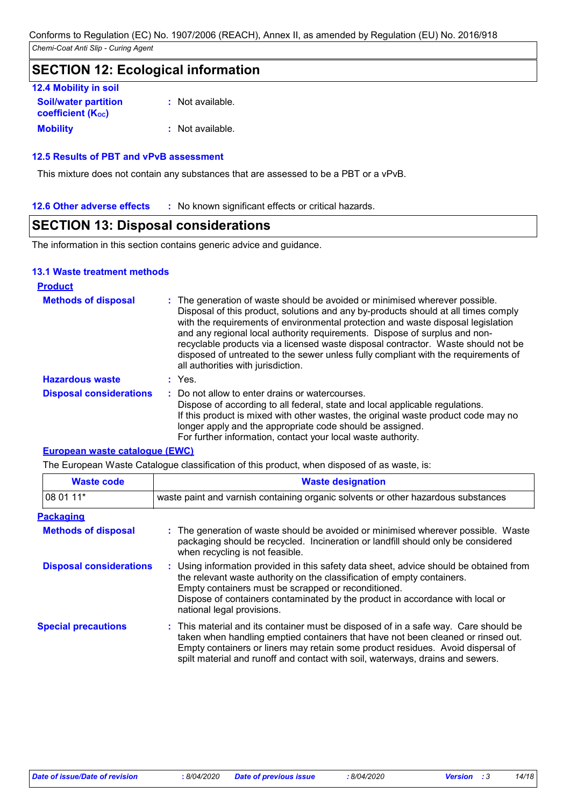# **SECTION 12: Ecological information**

| <b>12.4 Mobility in soil</b>                            |                  |
|---------------------------------------------------------|------------------|
| <b>Soil/water partition</b><br><b>coefficient (Koc)</b> | : Not available. |
| <b>Mobility</b>                                         | : Not available. |

### **12.5 Results of PBT and vPvB assessment**

This mixture does not contain any substances that are assessed to be a PBT or a vPvB.

**12.6 Other adverse effects** : No known significant effects or critical hazards.

# **SECTION 13: Disposal considerations**

The information in this section contains generic advice and guidance.

### **13.1 Waste treatment methods**

| <b>Product</b>                 |                                                                                                                                                                                                                                                                                                                                                                                                                                                                                                                                                      |
|--------------------------------|------------------------------------------------------------------------------------------------------------------------------------------------------------------------------------------------------------------------------------------------------------------------------------------------------------------------------------------------------------------------------------------------------------------------------------------------------------------------------------------------------------------------------------------------------|
| <b>Methods of disposal</b>     | : The generation of waste should be avoided or minimised wherever possible.<br>Disposal of this product, solutions and any by-products should at all times comply<br>with the requirements of environmental protection and waste disposal legislation<br>and any regional local authority requirements. Dispose of surplus and non-<br>recyclable products via a licensed waste disposal contractor. Waste should not be<br>disposed of untreated to the sewer unless fully compliant with the requirements of<br>all authorities with jurisdiction. |
| <b>Hazardous waste</b>         | : Yes.                                                                                                                                                                                                                                                                                                                                                                                                                                                                                                                                               |
| <b>Disposal considerations</b> | : Do not allow to enter drains or watercourses.<br>Dispose of according to all federal, state and local applicable regulations.<br>If this product is mixed with other wastes, the original waste product code may no<br>longer apply and the appropriate code should be assigned.<br>For further information, contact your local waste authority.                                                                                                                                                                                                   |

### **European waste catalogue (EWC)**

The European Waste Catalogue classification of this product, when disposed of as waste, is:

| <b>Waste code</b>              | <b>Waste designation</b>                                                                                                                                                                                                                                                                                                                     |  |  |  |
|--------------------------------|----------------------------------------------------------------------------------------------------------------------------------------------------------------------------------------------------------------------------------------------------------------------------------------------------------------------------------------------|--|--|--|
| 08 01 11*                      | waste paint and varnish containing organic solvents or other hazardous substances                                                                                                                                                                                                                                                            |  |  |  |
| <b>Packaging</b>               |                                                                                                                                                                                                                                                                                                                                              |  |  |  |
| <b>Methods of disposal</b>     | : The generation of waste should be avoided or minimised wherever possible. Waste<br>packaging should be recycled. Incineration or landfill should only be considered<br>when recycling is not feasible.                                                                                                                                     |  |  |  |
| <b>Disposal considerations</b> | : Using information provided in this safety data sheet, advice should be obtained from<br>the relevant waste authority on the classification of empty containers.<br>Empty containers must be scrapped or reconditioned.<br>Dispose of containers contaminated by the product in accordance with local or<br>national legal provisions.      |  |  |  |
| <b>Special precautions</b>     | : This material and its container must be disposed of in a safe way. Care should be<br>taken when handling emptied containers that have not been cleaned or rinsed out.<br>Empty containers or liners may retain some product residues. Avoid dispersal of<br>spilt material and runoff and contact with soil, waterways, drains and sewers. |  |  |  |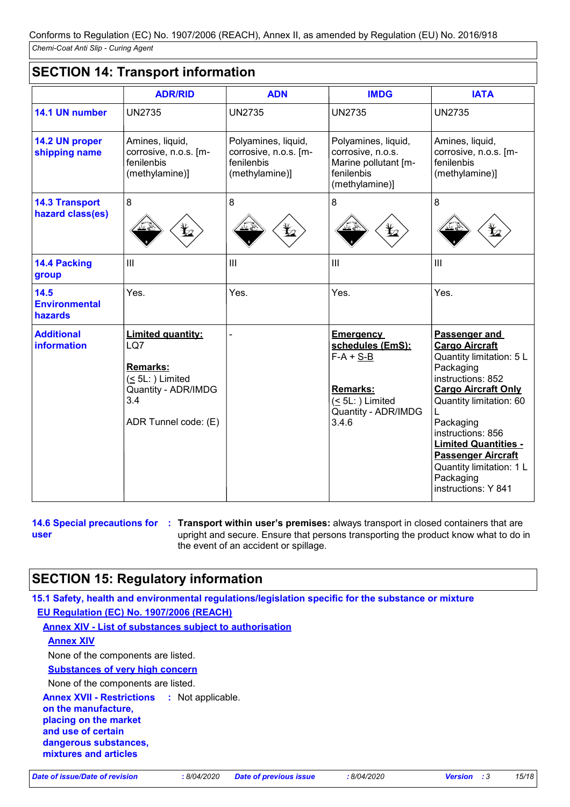# **SECTION 14: Transport information**

|                                           | <b>ADR/RID</b>                                                                                                             | <b>ADN</b>                                                                   | <b>IMDG</b>                                                                                                                       | <b>IATA</b>                                                                                                                                                                                                                                                                                                                 |
|-------------------------------------------|----------------------------------------------------------------------------------------------------------------------------|------------------------------------------------------------------------------|-----------------------------------------------------------------------------------------------------------------------------------|-----------------------------------------------------------------------------------------------------------------------------------------------------------------------------------------------------------------------------------------------------------------------------------------------------------------------------|
| 14.1 UN number                            | <b>UN2735</b>                                                                                                              | <b>UN2735</b>                                                                | <b>UN2735</b>                                                                                                                     | <b>UN2735</b>                                                                                                                                                                                                                                                                                                               |
| 14.2 UN proper<br>shipping name           | Amines, liquid,<br>corrosive, n.o.s. [m-<br>fenilenbis<br>(methylamine)]                                                   | Polyamines, liquid,<br>corrosive, n.o.s. [m-<br>fenilenbis<br>(methylamine)] | Polyamines, liquid,<br>corrosive, n.o.s.<br>Marine pollutant [m-<br>fenilenbis<br>(methylamine)]                                  | Amines, liquid,<br>corrosive, n.o.s. [m-<br>fenilenbis<br>(methylamine)]                                                                                                                                                                                                                                                    |
| <b>14.3 Transport</b><br>hazard class(es) | 8                                                                                                                          | 8                                                                            | 8<br>$\bigoplus$                                                                                                                  | 8                                                                                                                                                                                                                                                                                                                           |
| 14.4 Packing<br>group                     | III                                                                                                                        | III                                                                          | III                                                                                                                               | III                                                                                                                                                                                                                                                                                                                         |
| 14.5<br><b>Environmental</b><br>hazards   | Yes.                                                                                                                       | Yes.                                                                         | Yes.                                                                                                                              | Yes.                                                                                                                                                                                                                                                                                                                        |
| <b>Additional</b><br><b>information</b>   | <b>Limited quantity:</b><br>LQ7<br><b>Remarks:</b><br>$(5L)$ Limited<br>Quantity - ADR/IMDG<br>3.4<br>ADR Tunnel code: (E) |                                                                              | <b>Emergency</b><br>schedules (EmS):<br>$F-A + S-B$<br><b>Remarks:</b><br>$( \leq 5L$ : ) Limited<br>Quantity - ADR/IMDG<br>3.4.6 | Passenger and<br><b>Cargo Aircraft</b><br>Quantity limitation: 5 L<br>Packaging<br>instructions: 852<br><b>Cargo Aircraft Only</b><br>Quantity limitation: 60<br>Packaging<br>instructions: 856<br><b>Limited Quantities -</b><br><b>Passenger Aircraft</b><br>Quantity limitation: 1 L<br>Packaging<br>instructions: Y 841 |

**user**

**14.6 Special precautions for : Transport within user's premises: always transport in closed containers that are** upright and secure. Ensure that persons transporting the product know what to do in the event of an accident or spillage.

# **SECTION 15: Regulatory information**

**15.1 Safety, health and environmental regulations/legislation specific for the substance or mixture**

**EU Regulation (EC) No. 1907/2006 (REACH)**

**Annex XIV - List of substances subject to authorisation**

**Annex XIV**

None of the components are listed.

**Substances of very high concern**

None of the components are listed.

**Annex XVII - Restrictions :**

**on the manufacture, placing on the market and use of certain dangerous substances, mixtures and articles**

*Date of issue/Date of revision* **:** *8/04/2020 Date of previous issue : 8/04/2020 Version : 3 15/18*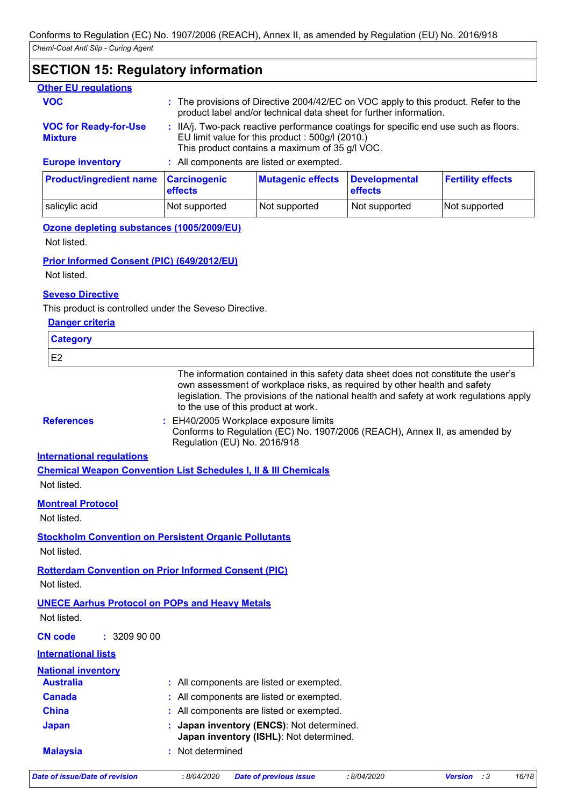# **SECTION 15: Regulatory information**

| <b>Other EU regulations</b>                    |                                          |                                                                                                                                                                                            |                                 |                                                                                     |
|------------------------------------------------|------------------------------------------|--------------------------------------------------------------------------------------------------------------------------------------------------------------------------------------------|---------------------------------|-------------------------------------------------------------------------------------|
| <b>VOC</b>                                     |                                          | product label and/or technical data sheet for further information.                                                                                                                         |                                 | : The provisions of Directive 2004/42/EC on VOC apply to this product. Refer to the |
| <b>VOC for Ready-for-Use</b><br><b>Mixture</b> |                                          | : IIA/j. Two-pack reactive performance coatings for specific end use such as floors.<br>EU limit value for this product : 500g/l (2010.)<br>This product contains a maximum of 35 g/l VOC. |                                 |                                                                                     |
| <b>Europe inventory</b>                        | : All components are listed or exempted. |                                                                                                                                                                                            |                                 |                                                                                     |
| <b>Product/ingredient name</b>                 | <b>Carcinogenic</b><br>effects           | <b>Mutagenic effects</b>                                                                                                                                                                   | <b>Developmental</b><br>effects | <b>Fertility effects</b>                                                            |

salicylic acid **Not supported** Not supported Not supported Not supported Not supported

# **Ozone depleting substances (1005/2009/EU)**

Not listed.

### **Prior Informed Consent (PIC) (649/2012/EU)**

Not listed.

### **Seveso Directive**

This product is controlled under the Seveso Directive.

| <b>Danger criteria</b>           |                                                                                                                                                                                                                                                                                                   |
|----------------------------------|---------------------------------------------------------------------------------------------------------------------------------------------------------------------------------------------------------------------------------------------------------------------------------------------------|
| <b>Category</b>                  |                                                                                                                                                                                                                                                                                                   |
| E <sub>2</sub>                   |                                                                                                                                                                                                                                                                                                   |
|                                  | The information contained in this safety data sheet does not constitute the user's<br>own assessment of workplace risks, as required by other health and safety<br>legislation. The provisions of the national health and safety at work regulations apply<br>to the use of this product at work. |
| <b>References</b>                | : EH40/2005 Workplace exposure limits<br>Conforms to Regulation (EC) No. 1907/2006 (REACH), Annex II, as amended by<br>Regulation (EU) No. 2016/918                                                                                                                                               |
| <b>International regulations</b> |                                                                                                                                                                                                                                                                                                   |
|                                  | <b>Chemical Weapon Convention List Schedules I, II &amp; III Chemicals</b>                                                                                                                                                                                                                        |
| Not listed.                      |                                                                                                                                                                                                                                                                                                   |
| <b>Montreal Protocol</b>         |                                                                                                                                                                                                                                                                                                   |
| Not listed.                      |                                                                                                                                                                                                                                                                                                   |
|                                  | <b>Stockholm Convention on Persistent Organic Pollutants</b>                                                                                                                                                                                                                                      |
| Not listed.                      |                                                                                                                                                                                                                                                                                                   |
| Not listed.                      | <b>Rotterdam Convention on Prior Informed Consent (PIC)</b>                                                                                                                                                                                                                                       |
| Not listed.                      | <b>UNECE Aarhus Protocol on POPs and Heavy Metals</b>                                                                                                                                                                                                                                             |
| : 3209900<br><b>CN</b> code      |                                                                                                                                                                                                                                                                                                   |
| <b>International lists</b>       |                                                                                                                                                                                                                                                                                                   |
| <b>National inventory</b>        |                                                                                                                                                                                                                                                                                                   |
| <b>Australia</b>                 | : All components are listed or exempted.                                                                                                                                                                                                                                                          |
| <b>Canada</b>                    | All components are listed or exempted.                                                                                                                                                                                                                                                            |
| <b>China</b>                     | : All components are listed or exempted.                                                                                                                                                                                                                                                          |
| <b>Japan</b>                     | Japan inventory (ENCS): Not determined.<br>Japan inventory (ISHL): Not determined.                                                                                                                                                                                                                |
| <b>Malaysia</b>                  | Not determined                                                                                                                                                                                                                                                                                    |
| Date of issue/Date of revision   | 16/18<br>:8/04/2020<br>:8/04/2020<br><b>Version</b><br>:3<br><b>Date of previous issue</b>                                                                                                                                                                                                        |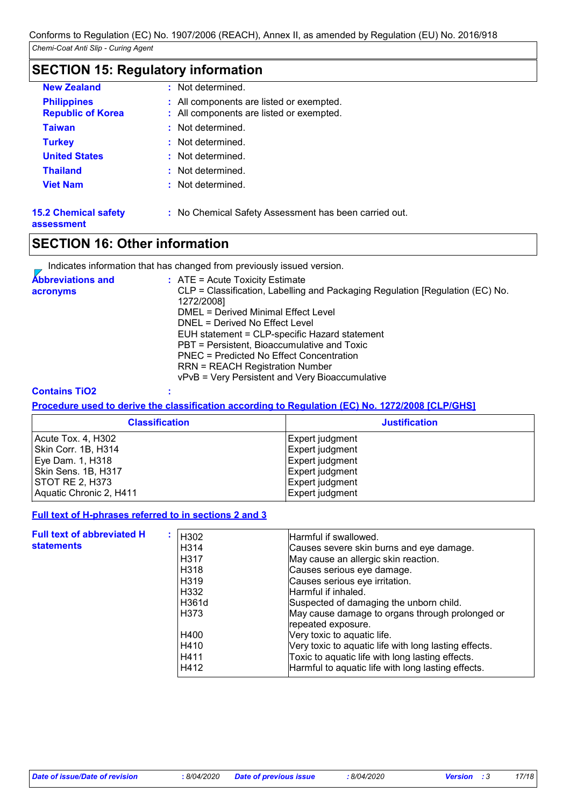# **SECTION 15: Regulatory information**

| <b>New Zealand</b>          | : Not determined.                                     |
|-----------------------------|-------------------------------------------------------|
| <b>Philippines</b>          | : All components are listed or exempted.              |
| <b>Republic of Korea</b>    | : All components are listed or exempted.              |
| <b>Taiwan</b>               | : Not determined.                                     |
| <b>Turkey</b>               | : Not determined.                                     |
| <b>United States</b>        | : Not determined.                                     |
| <b>Thailand</b>             | : Not determined.                                     |
| <b>Viet Nam</b>             | : Not determined.                                     |
| <b>15.2 Chemical safety</b> | : No Chemical Safety Assessment has been carried out. |

#### **assessment**

# **SECTION 16: Other information**

|  | Indicates information that has changed from previously issued version. |  |
|--|------------------------------------------------------------------------|--|
|--|------------------------------------------------------------------------|--|

| <b>Abbreviations and</b> | $\therefore$ ATE = Acute Toxicity Estimate                                                  |
|--------------------------|---------------------------------------------------------------------------------------------|
| acronyms                 | CLP = Classification, Labelling and Packaging Regulation [Regulation (EC) No.<br>1272/2008] |
|                          | DMEL = Derived Minimal Effect Level                                                         |
|                          | DNEL = Derived No Effect Level                                                              |
|                          | EUH statement = CLP-specific Hazard statement                                               |
|                          | PBT = Persistent, Bioaccumulative and Toxic                                                 |
|                          | PNEC = Predicted No Effect Concentration                                                    |
|                          | <b>RRN = REACH Registration Number</b>                                                      |
|                          | vPvB = Very Persistent and Very Bioaccumulative                                             |

### **Contains TiO2 :**

**Procedure used to derive the classification according to Regulation (EC) No. 1272/2008 [CLP/GHS]**

| <b>Classification</b>   | <b>Justification</b> |
|-------------------------|----------------------|
| Acute Tox. 4, H302      | Expert judgment      |
| Skin Corr. 1B, H314     | Expert judgment      |
| Eye Dam. 1, H318        | Expert judgment      |
| Skin Sens. 1B, H317     | Expert judgment      |
| STOT RE 2, H373         | Expert judgment      |
| Aquatic Chronic 2, H411 | Expert judgment      |

### **Full text of H-phrases referred to in sections 2 and 3**

| <b>Full text of abbreviated H</b> | H302              | Harmful if swallowed.                                 |
|-----------------------------------|-------------------|-------------------------------------------------------|
| <b>statements</b>                 | H <sub>3</sub> 14 | Causes severe skin burns and eye damage.              |
|                                   | H317              | May cause an allergic skin reaction.                  |
|                                   | H <sub>3</sub> 18 | Causes serious eye damage.                            |
|                                   | H <sub>3</sub> 19 | Causes serious eye irritation.                        |
|                                   | H332              | Harmful if inhaled.                                   |
|                                   | H361d             | Suspected of damaging the unborn child.               |
|                                   | H373              | May cause damage to organs through prolonged or       |
|                                   |                   | repeated exposure.                                    |
|                                   | H400              | Very toxic to aquatic life.                           |
|                                   | H410              | Very toxic to aquatic life with long lasting effects. |
|                                   | H411              | Toxic to aquatic life with long lasting effects.      |
|                                   | H412              | Harmful to aquatic life with long lasting effects.    |